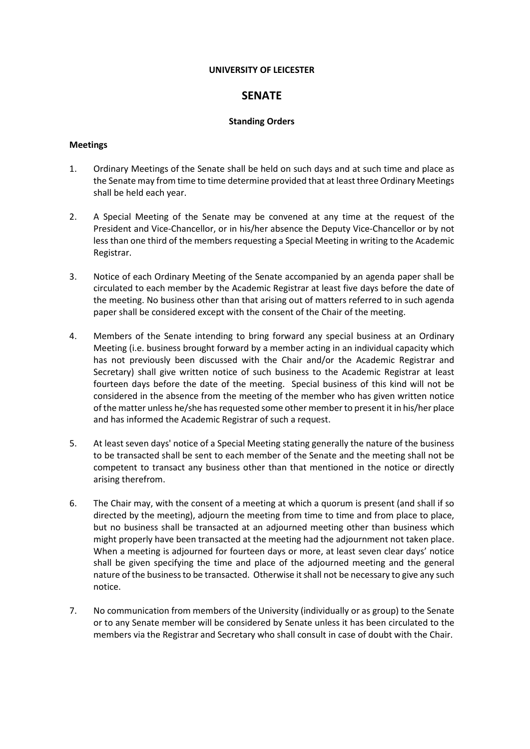#### **UNIVERSITY OF LEICESTER**

# **SENATE**

# **Standing Orders**

# **Meetings**

- 1. Ordinary Meetings of the Senate shall be held on such days and at such time and place as the Senate may from time to time determine provided that at least three Ordinary Meetings shall be held each year.
- 2. A Special Meeting of the Senate may be convened at any time at the request of the President and Vice-Chancellor, or in his/her absence the Deputy Vice-Chancellor or by not less than one third of the members requesting a Special Meeting in writing to the Academic Registrar.
- 3. Notice of each Ordinary Meeting of the Senate accompanied by an agenda paper shall be circulated to each member by the Academic Registrar at least five days before the date of the meeting. No business other than that arising out of matters referred to in such agenda paper shall be considered except with the consent of the Chair of the meeting.
- 4. Members of the Senate intending to bring forward any special business at an Ordinary Meeting (i.e. business brought forward by a member acting in an individual capacity which has not previously been discussed with the Chair and/or the Academic Registrar and Secretary) shall give written notice of such business to the Academic Registrar at least fourteen days before the date of the meeting. Special business of this kind will not be considered in the absence from the meeting of the member who has given written notice of the matter unless he/she has requested some other member to present it in his/her place and has informed the Academic Registrar of such a request.
- 5. At least seven days' notice of a Special Meeting stating generally the nature of the business to be transacted shall be sent to each member of the Senate and the meeting shall not be competent to transact any business other than that mentioned in the notice or directly arising therefrom.
- 6. The Chair may, with the consent of a meeting at which a quorum is present (and shall if so directed by the meeting), adjourn the meeting from time to time and from place to place, but no business shall be transacted at an adjourned meeting other than business which might properly have been transacted at the meeting had the adjournment not taken place. When a meeting is adjourned for fourteen days or more, at least seven clear days' notice shall be given specifying the time and place of the adjourned meeting and the general nature of the business to be transacted. Otherwise it shall not be necessary to give any such notice.
- 7. No communication from members of the University (individually or as group) to the Senate or to any Senate member will be considered by Senate unless it has been circulated to the members via the Registrar and Secretary who shall consult in case of doubt with the Chair.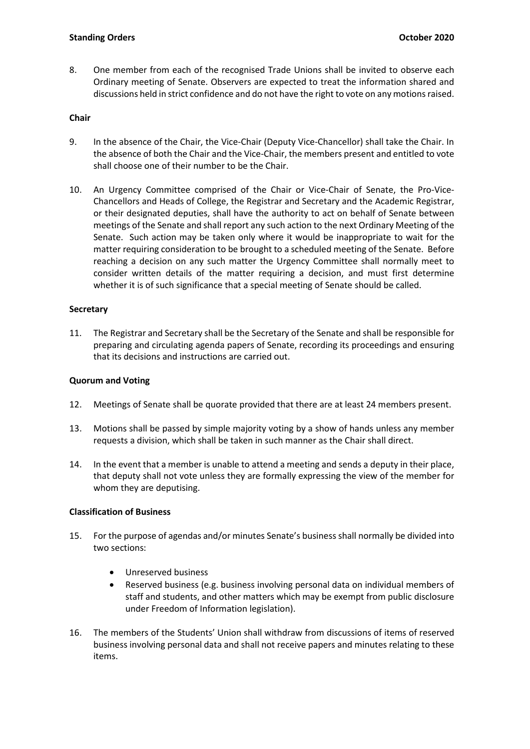# **Standing Orders October 2020**

8. One member from each of the recognised Trade Unions shall be invited to observe each Ordinary meeting of Senate. Observers are expected to treat the information shared and discussions held in strict confidence and do not have the right to vote on any motions raised.

### **Chair**

- 9. In the absence of the Chair, the Vice-Chair (Deputy Vice-Chancellor) shall take the Chair. In the absence of both the Chair and the Vice-Chair, the members present and entitled to vote shall choose one of their number to be the Chair.
- 10. An Urgency Committee comprised of the Chair or Vice-Chair of Senate, the Pro-Vice-Chancellors and Heads of College, the Registrar and Secretary and the Academic Registrar, or their designated deputies, shall have the authority to act on behalf of Senate between meetings of the Senate and shall report any such action to the next Ordinary Meeting of the Senate. Such action may be taken only where it would be inappropriate to wait for the matter requiring consideration to be brought to a scheduled meeting of the Senate. Before reaching a decision on any such matter the Urgency Committee shall normally meet to consider written details of the matter requiring a decision, and must first determine whether it is of such significance that a special meeting of Senate should be called.

#### **Secretary**

11. The Registrar and Secretary shall be the Secretary of the Senate and shall be responsible for preparing and circulating agenda papers of Senate, recording its proceedings and ensuring that its decisions and instructions are carried out.

#### **Quorum and Voting**

- 12. Meetings of Senate shall be quorate provided that there are at least 24 members present.
- 13. Motions shall be passed by simple majority voting by a show of hands unless any member requests a division, which shall be taken in such manner as the Chair shall direct.
- 14. In the event that a member is unable to attend a meeting and sends a deputy in their place, that deputy shall not vote unless they are formally expressing the view of the member for whom they are deputising.

# **Classification of Business**

- 15. For the purpose of agendas and/or minutes Senate's business shall normally be divided into two sections:
	- Unreserved business
	- Reserved business (e.g. business involving personal data on individual members of staff and students, and other matters which may be exempt from public disclosure under Freedom of Information legislation).
- 16. The members of the Students' Union shall withdraw from discussions of items of reserved business involving personal data and shall not receive papers and minutes relating to these items.